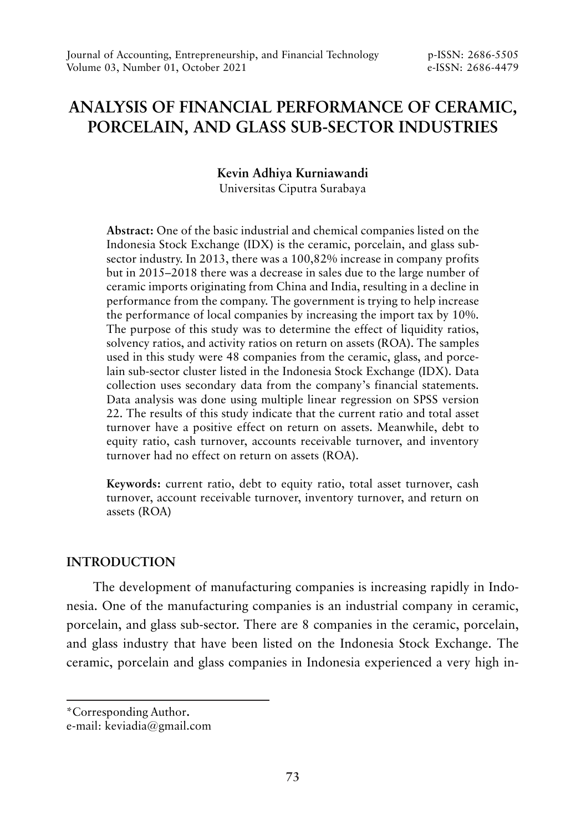# **ANALYSIS OF FINANCIAL PERFORMANCE OF CERAMIC, PORCELAIN, AND GLASS SUB-SECTOR INDUSTRIES**

**Kevin Adhiya Kurniawandi**

Universitas Ciputra Surabaya

**Abstract:** One of the basic industrial and chemical companies listed on the Indonesia Stock Exchange (IDX) is the ceramic, porcelain, and glass subsector industry. In 2013, there was a 100,82% increase in company profits but in 2015–2018 there was a decrease in sales due to the large number of ceramic imports originating from China and India, resulting in a decline in performance from the company. The government is trying to help increase the performance of local companies by increasing the import tax by 10%. The purpose of this study was to determine the effect of liquidity ratios, solvency ratios, and activity ratios on return on assets (ROA). The samples used in this study were 48 companies from the ceramic, glass, and porcelain sub-sector cluster listed in the Indonesia Stock Exchange (IDX). Data collection uses secondary data from the company's financial statements. Data analysis was done using multiple linear regression on SPSS version 22. The results of this study indicate that the current ratio and total asset turnover have a positive effect on return on assets. Meanwhile, debt to equity ratio, cash turnover, accounts receivable turnover, and inventory turnover had no effect on return on assets (ROA).

**Keywords:** current ratio, debt to equity ratio, total asset turnover, cash turnover, account receivable turnover, inventory turnover, and return on assets (ROA)

## **INTRODUCTION**

The development of manufacturing companies is increasing rapidly in Indonesia. One of the manufacturing companies is an industrial company in ceramic, porcelain, and glass sub-sector. There are 8 companies in the ceramic, porcelain, and glass industry that have been listed on the Indonesia Stock Exchange. The ceramic, porcelain and glass companies in Indonesia experienced a very high in-

<sup>\*</sup>Corresponding Author**.**

e-mail: keviadia@gmail.com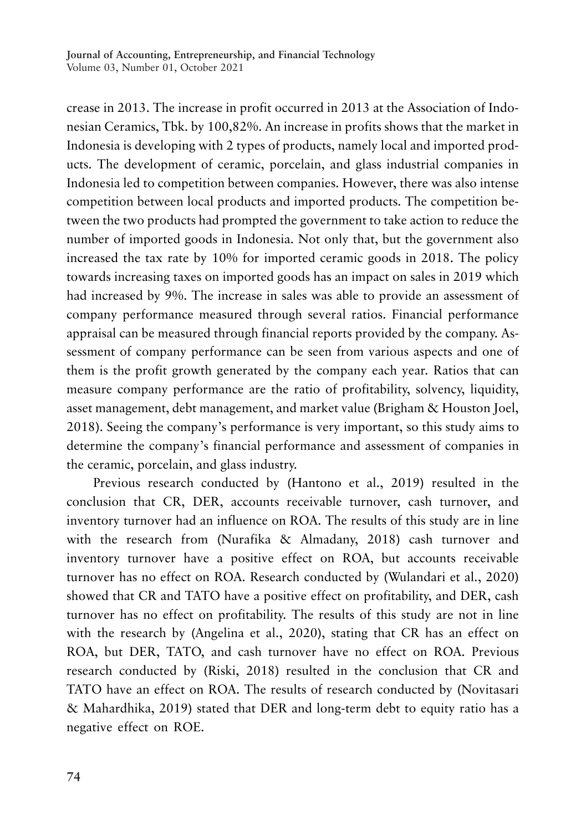crease in 2013. The increase in profit occurred in 2013 at the Association of Indonesian Ceramics, Tbk. by 100,82%. An increase in profits shows that the market in Indonesia is developing with 2 types of products, namely local and imported products. The development of ceramic, porcelain, and glass industrial companies in Indonesia led to competition between companies. However, there was also intense competition between local products and imported products. The competition between the two products had prompted the government to take action to reduce the number of imported goods in Indonesia. Not only that, but the government also increased the tax rate by 10% for imported ceramic goods in 2018. The policy towards increasing taxes on imported goods has an impact on sales in 2019 which had increased by 9%. The increase in sales was able to provide an assessment of company performance measured through several ratios. Financial performance appraisal can be measured through financial reports provided by the company. Assessment of company performance can be seen from various aspects and one of them is the profit growth generated by the company each year. Ratios that can measure company performance are the ratio of profitability, solvency, liquidity, asset management, debt management, and market value (Brigham & Houston Joel, 2018). Seeing the company's performance is very important, so this study aims to determine the company's financial performance and assessment of companies in the ceramic, porcelain, and glass industry.

Previous research conducted by (Hantono et al., 2019) resulted in the conclusion that CR, DER, accounts receivable turnover, cash turnover, and inventory turnover had an influence on ROA. The results of this study are in line with the research from (Nurafika & Almadany, 2018) cash turnover and inventory turnover have a positive effect on ROA, but accounts receivable turnover has no effect on ROA. Research conducted by (Wulandari et al., 2020) showed that CR and TATO have a positive effect on profitability, and DER, cash turnover has no effect on profitability. The results of this study are not in line with the research by (Angelina et al., 2020), stating that CR has an effect on ROA, but DER, TATO, and cash turnover have no effect on ROA. Previous research conducted by (Riski, 2018) resulted in the conclusion that CR and TATO have an effect on ROA. The results of research conducted by (Novitasari & Mahardhika, 2019) stated that DER and long-term debt to equity ratio has a negative effect on ROE.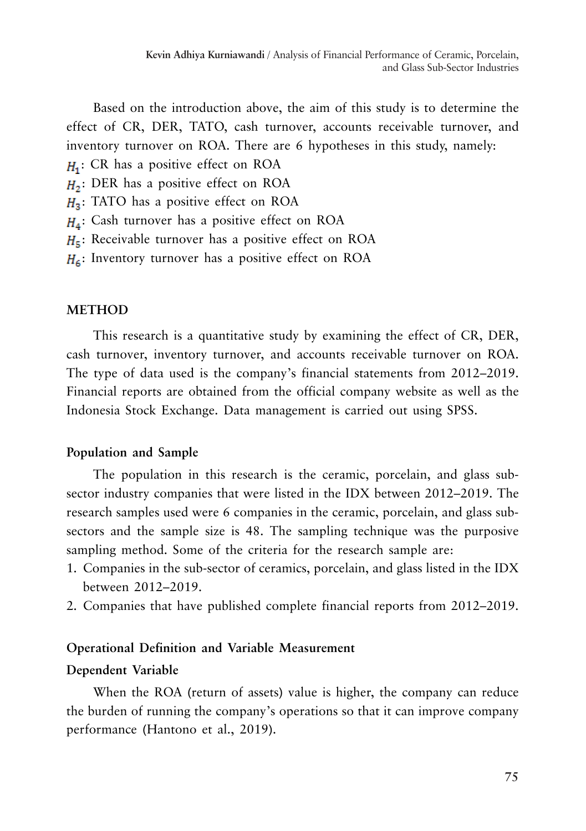Based on the introduction above, the aim of this study is to determine the effect of CR, DER, TATO, cash turnover, accounts receivable turnover, and inventory turnover on ROA. There are 6 hypotheses in this study, namely:

 $H_1$ : CR has a positive effect on ROA

- $H_2$ : DER has a positive effect on ROA
- $H_3$ : TATO has a positive effect on ROA
- $H_4$ : Cash turnover has a positive effect on ROA
- $H<sub>5</sub>$ : Receivable turnover has a positive effect on ROA
- $H<sub>6</sub>$ : Inventory turnover has a positive effect on ROA

## **METHOD**

This research is a quantitative study by examining the effect of CR, DER, cash turnover, inventory turnover, and accounts receivable turnover on ROA. The type of data used is the company's financial statements from 2012–2019. Financial reports are obtained from the official company website as well as the Indonesia Stock Exchange. Data management is carried out using SPSS.

## **Population and Sample**

The population in this research is the ceramic, porcelain, and glass subsector industry companies that were listed in the IDX between 2012–2019. The research samples used were 6 companies in the ceramic, porcelain, and glass subsectors and the sample size is 48. The sampling technique was the purposive sampling method. Some of the criteria for the research sample are:

- 1. Companies in the sub-sector of ceramics, porcelain, and glass listed in the IDX between 2012–2019.
- 2. Companies that have published complete financial reports from 2012–2019.

## **Operational Definition and Variable Measurement**

# **Dependent Variable**

When the ROA (return of assets) value is higher, the company can reduce the burden of running the company's operations so that it can improve company performance (Hantono et al., 2019).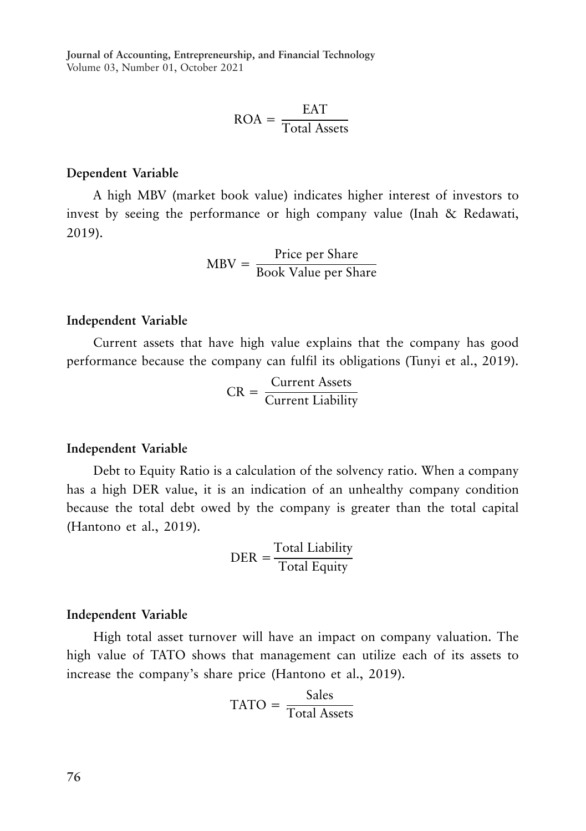$$
ROA = \frac{EAT}{Total Assets}
$$

## **Dependent Variable**

A high MBV (market book value) indicates higher interest of investors to invest by seeing the performance or high company value (Inah & Redawati, 2019).

$$
MBV = \frac{Price per Share}{Book Value per Share}
$$

#### **Independent Variable**

Current assets that have high value explains that the company has good performance because the company can fulfil its obligations (Tunyi et al., 2019).

$$
CR = \frac{Current\ Assets}{Current\ Liability}
$$

#### **Independent Variable**

Debt to Equity Ratio is a calculation of the solvency ratio. When a company has a high DER value, it is an indication of an unhealthy company condition because the total debt owed by the company is greater than the total capital (Hantono et al., 2019).

$$
DER = \frac{Total Liability}{Total Equity}
$$

#### **Independent Variable**

High total asset turnover will have an impact on company valuation. The high value of TATO shows that management can utilize each of its assets to increase the company's share price (Hantono et al., 2019).

$$
TATO = \frac{Sales}{Total Assets}
$$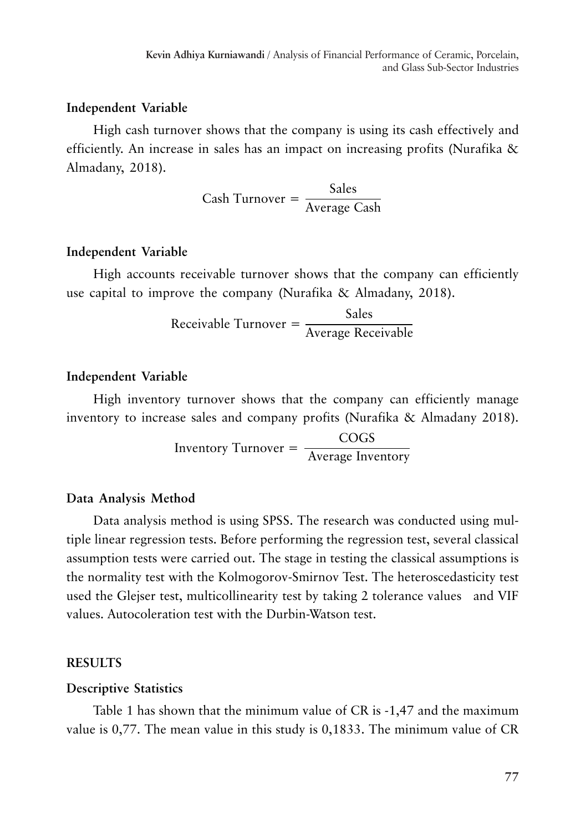## **Independent Variable**

High cash turnover shows that the company is using its cash effectively and efficiently. An increase in sales has an impact on increasing profits (Nurafika & Almadany, 2018).

 $\text{Cash Turnover} = \frac{\text{Sales}}{\text{Average Cash}}$ 

## **Independent Variable**

High accounts receivable turnover shows that the company can efficiently use capital to improve the company (Nurafika & Almadany, 2018).

 $\text{Receivable Turnover} = \frac{\text{Sales}}{\text{Average Receivable}}$ 

#### **Independent Variable**

High inventory turnover shows that the company can efficiently manage inventory to increase sales and company profits (Nurafika & Almadany 2018).

> Inventory Turnover = COGS Average Inventory

#### **Data Analysis Method**

Data analysis method is using SPSS. The research was conducted using multiple linear regression tests. Before performing the regression test, several classical assumption tests were carried out. The stage in testing the classical assumptions is the normality test with the Kolmogorov-Smirnov Test. The heteroscedasticity test used the Glejser test, multicollinearity test by taking 2 tolerance values and VIF values. Autocoleration test with the Durbin-Watson test.

#### **RESULTS**

#### **Descriptive Statistics**

Table 1 has shown that the minimum value of CR is -1,47 and the maximum value is 0,77. The mean value in this study is 0,1833. The minimum value of CR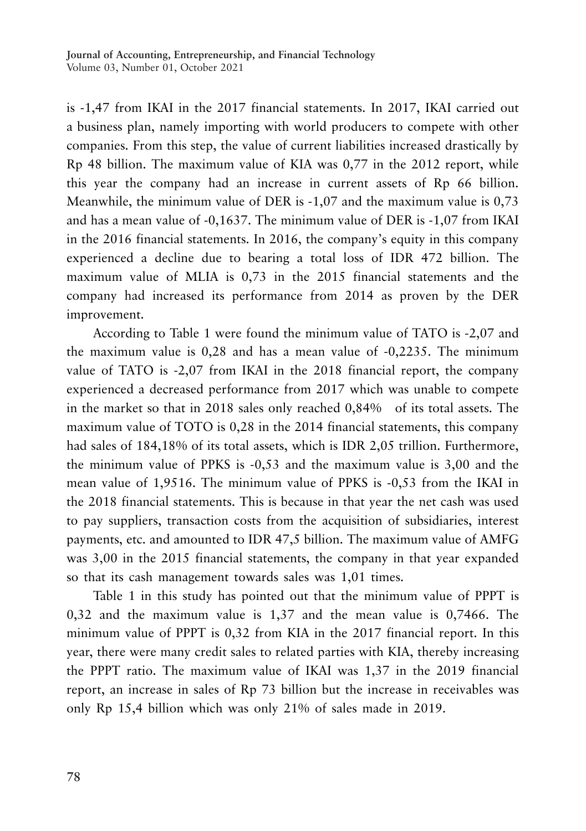is -1,47 from IKAI in the 2017 financial statements. In 2017, IKAI carried out a business plan, namely importing with world producers to compete with other companies. From this step, the value of current liabilities increased drastically by Rp 48 billion. The maximum value of KIA was 0,77 in the 2012 report, while this year the company had an increase in current assets of Rp 66 billion. Meanwhile, the minimum value of DER is -1,07 and the maximum value is 0,73 and has a mean value of -0,1637. The minimum value of DER is -1,07 from IKAI in the 2016 financial statements. In 2016, the company's equity in this company experienced a decline due to bearing a total loss of IDR 472 billion. The maximum value of MLIA is 0,73 in the 2015 financial statements and the company had increased its performance from 2014 as proven by the DER improvement.

According to Table 1 were found the minimum value of TATO is -2,07 and the maximum value is 0,28 and has a mean value of -0,2235. The minimum value of TATO is -2,07 from IKAI in the 2018 financial report, the company experienced a decreased performance from 2017 which was unable to compete in the market so that in 2018 sales only reached 0,84% of its total assets. The maximum value of TOTO is 0,28 in the 2014 financial statements, this company had sales of 184,18% of its total assets, which is IDR 2,05 trillion. Furthermore, the minimum value of PPKS is -0,53 and the maximum value is 3,00 and the mean value of 1,9516. The minimum value of PPKS is -0,53 from the IKAI in the 2018 financial statements. This is because in that year the net cash was used to pay suppliers, transaction costs from the acquisition of subsidiaries, interest payments, etc. and amounted to IDR 47,5 billion. The maximum value of AMFG was 3,00 in the 2015 financial statements, the company in that year expanded so that its cash management towards sales was 1,01 times.

Table 1 in this study has pointed out that the minimum value of PPPT is 0,32 and the maximum value is 1,37 and the mean value is 0,7466. The minimum value of PPPT is 0,32 from KIA in the 2017 financial report. In this year, there were many credit sales to related parties with KIA, thereby increasing the PPPT ratio. The maximum value of IKAI was 1,37 in the 2019 financial report, an increase in sales of Rp 73 billion but the increase in receivables was only Rp 15,4 billion which was only 21% of sales made in 2019.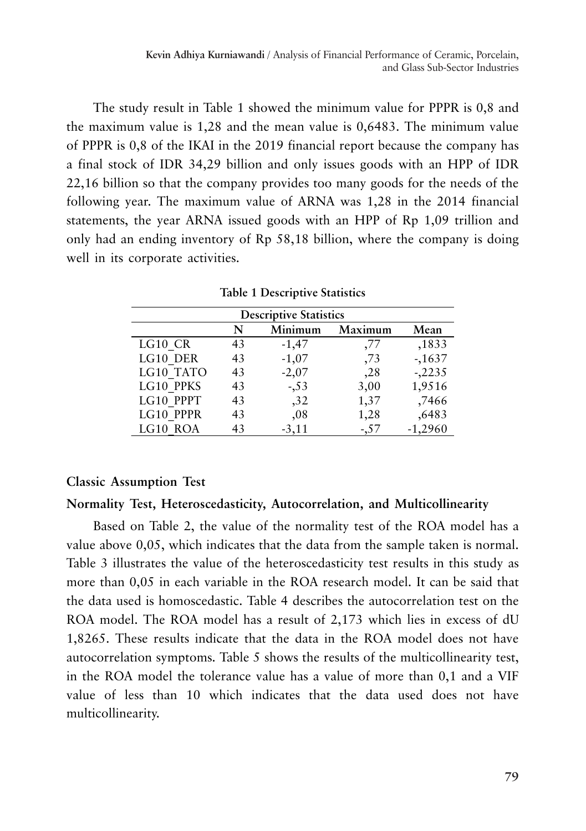The study result in Table 1 showed the minimum value for PPPR is 0,8 and the maximum value is 1,28 and the mean value is 0,6483. The minimum value of PPPR is 0,8 of the IKAI in the 2019 financial report because the company has a final stock of IDR 34,29 billion and only issues goods with an HPP of IDR 22,16 billion so that the company provides too many goods for the needs of the following year. The maximum value of ARNA was 1,28 in the 2014 financial statements, the year ARNA issued goods with an HPP of Rp 1,09 trillion and only had an ending inventory of Rp 58,18 billion, where the company is doing well in its corporate activities.

| <b>Descriptive Statistics</b> |    |         |         |           |
|-------------------------------|----|---------|---------|-----------|
|                               | N  | Minimum | Maximum | Mean      |
| LG10 CR                       | 43 | $-1,47$ | ,77     | ,1833     |
| LG10 DER                      | 43 | $-1,07$ | ,73     | $-1637$   |
| LG10 TATO                     | 43 | $-2,07$ | , 28    | $-.2235$  |
| LG10 PPKS                     | 43 | $-0.53$ | 3,00    | 1,9516    |
| LG10 PPPT                     | 43 | , 32    | 1,37    | ,7466     |
| LG10 PPPR                     | 43 | ,08     | 1,28    | ,6483     |
| LG10 ROA                      | 43 | $-3,11$ | $-57$   | $-1,2960$ |

**Table 1 Descriptive Statistics**

### **Classic Assumption Test**

## **Normality Test, Heteroscedasticity, Autocorrelation, and Multicollinearity**

Based on Table 2, the value of the normality test of the ROA model has a value above 0,05, which indicates that the data from the sample taken is normal. Table 3 illustrates the value of the heteroscedasticity test results in this study as more than 0,05 in each variable in the ROA research model. It can be said that the data used is homoscedastic. Table 4 describes the autocorrelation test on the ROA model. The ROA model has a result of 2,173 which lies in excess of dU 1,8265. These results indicate that the data in the ROA model does not have autocorrelation symptoms. Table 5 shows the results of the multicollinearity test, in the ROA model the tolerance value has a value of more than 0,1 and a VIF value of less than 10 which indicates that the data used does not have multicollinearity.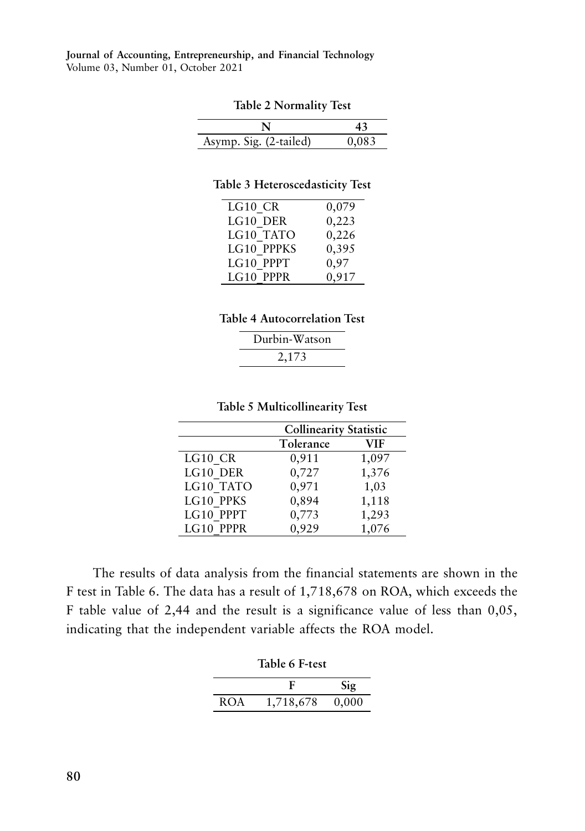| <b>Table 2 Normality Test</b> |  |
|-------------------------------|--|
|-------------------------------|--|

| Asymp. Sig. (2-tailed) | 11 LIX 3 |
|------------------------|----------|

#### **Table 3 Heteroscedasticity Test**

| LG10 CR    | 0,079 |
|------------|-------|
| LG10 DER   | 0,223 |
| LG10 TATO  | 0,226 |
| LG10 PPPKS | 0,395 |
| LG10 PPPT  | 0,97  |
| LG10 PPPR  | 0,917 |

#### **Table 4 Autocorrelation Test**

| Durbin-Watson |  |  |
|---------------|--|--|
| 2,173         |  |  |

#### **Table 5 Multicollinearity Test**

|           | <b>Collinearity Statistic</b> |            |
|-----------|-------------------------------|------------|
|           | Tolerance                     | <b>VIF</b> |
| LG10 CR   | 0,911                         | 1,097      |
| LG10 DER  | 0,727                         | 1,376      |
| LG10 TATO | 0,971                         | 1,03       |
| LG10 PPKS | 0,894                         | 1,118      |
| LG10 PPPT | 0,773                         | 1,293      |
| LG10 PPPR | 0,929                         | 1,076      |

The results of data analysis from the financial statements are shown in the F test in Table 6. The data has a result of 1,718,678 on ROA, which exceeds the F table value of 2,44 and the result is a significance value of less than 0,05, indicating that the independent variable affects the ROA model.

|  | Table 6 F-test |
|--|----------------|
|--|----------------|

|     |           | $\text{Sig}$ |
|-----|-----------|--------------|
| ROA | 1,718,678 | 0,000        |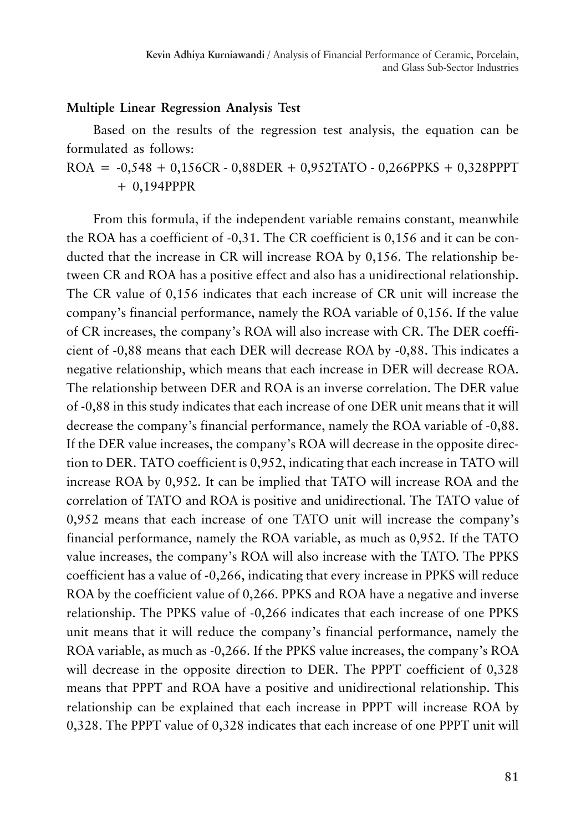## **Multiple Linear Regression Analysis Test**

Based on the results of the regression test analysis, the equation can be formulated as follows:

 $ROA = -0.548 + 0.156CR - 0.88DER + 0.952TATO - 0.266PPKS + 0.328PPPT$ + 0,194PPPR

From this formula, if the independent variable remains constant, meanwhile the ROA has a coefficient of -0,31. The CR coefficient is 0,156 and it can be conducted that the increase in CR will increase ROA by 0,156. The relationship between CR and ROA has a positive effect and also has a unidirectional relationship. The CR value of 0,156 indicates that each increase of CR unit will increase the company's financial performance, namely the ROA variable of 0,156. If the value of CR increases, the company's ROA will also increase with CR. The DER coefficient of -0,88 means that each DER will decrease ROA by -0,88. This indicates a negative relationship, which means that each increase in DER will decrease ROA. The relationship between DER and ROA is an inverse correlation. The DER value of -0,88 in this study indicates that each increase of one DER unit means that it will decrease the company's financial performance, namely the ROA variable of -0,88. If the DER value increases, the company's ROA will decrease in the opposite direction to DER. TATO coefficient is 0,952, indicating that each increase in TATO will increase ROA by 0,952. It can be implied that TATO will increase ROA and the correlation of TATO and ROA is positive and unidirectional. The TATO value of 0,952 means that each increase of one TATO unit will increase the company's financial performance, namely the ROA variable, as much as 0,952. If the TATO value increases, the company's ROA will also increase with the TATO. The PPKS coefficient has a value of -0,266, indicating that every increase in PPKS will reduce ROA by the coefficient value of 0,266. PPKS and ROA have a negative and inverse relationship. The PPKS value of -0,266 indicates that each increase of one PPKS unit means that it will reduce the company's financial performance, namely the ROA variable, as much as -0,266. If the PPKS value increases, the company's ROA will decrease in the opposite direction to DER. The PPPT coefficient of 0,328 means that PPPT and ROA have a positive and unidirectional relationship. This relationship can be explained that each increase in PPPT will increase ROA by 0,328. The PPPT value of 0,328 indicates that each increase of one PPPT unit will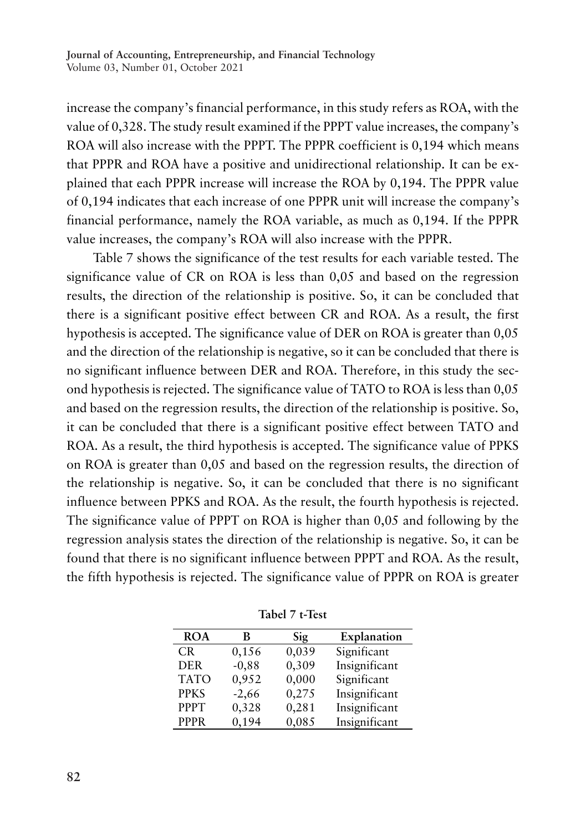increase the company's financial performance, in this study refers as ROA, with the value of 0,328. The study result examined if the PPPT value increases, the company's ROA will also increase with the PPPT. The PPPR coefficient is 0,194 which means that PPPR and ROA have a positive and unidirectional relationship. It can be explained that each PPPR increase will increase the ROA by 0,194. The PPPR value of 0,194 indicates that each increase of one PPPR unit will increase the company's financial performance, namely the ROA variable, as much as 0,194. If the PPPR value increases, the company's ROA will also increase with the PPPR.

Table 7 shows the significance of the test results for each variable tested. The significance value of CR on ROA is less than 0,05 and based on the regression results, the direction of the relationship is positive. So, it can be concluded that there is a significant positive effect between CR and ROA. As a result, the first hypothesis is accepted. The significance value of DER on ROA is greater than 0,05 and the direction of the relationship is negative, so it can be concluded that there is no significant influence between DER and ROA. Therefore, in this study the second hypothesis is rejected. The significance value of TATO to ROA is less than 0,05 and based on the regression results, the direction of the relationship is positive. So, it can be concluded that there is a significant positive effect between TATO and ROA. As a result, the third hypothesis is accepted. The significance value of PPKS on ROA is greater than 0,05 and based on the regression results, the direction of the relationship is negative. So, it can be concluded that there is no significant influence between PPKS and ROA. As the result, the fourth hypothesis is rejected. The significance value of PPPT on ROA is higher than 0,05 and following by the regression analysis states the direction of the relationship is negative. So, it can be found that there is no significant influence between PPPT and ROA. As the result, the fifth hypothesis is rejected. The significance value of PPPR on ROA is greater

| <b>ROA</b>  | в       | Sig   | Explanation   |
|-------------|---------|-------|---------------|
| CR.         | 0,156   | 0,039 | Significant   |
| <b>DER</b>  | $-0,88$ | 0,309 | Insignificant |
| <b>TATO</b> | 0,952   | 0,000 | Significant   |
| <b>PPKS</b> | $-2,66$ | 0,275 | Insignificant |
| <b>PPPT</b> | 0,328   | 0,281 | Insignificant |
| <b>PPPR</b> | 0,194   | 0,085 | Insignificant |

**Tabel 7 t-Test**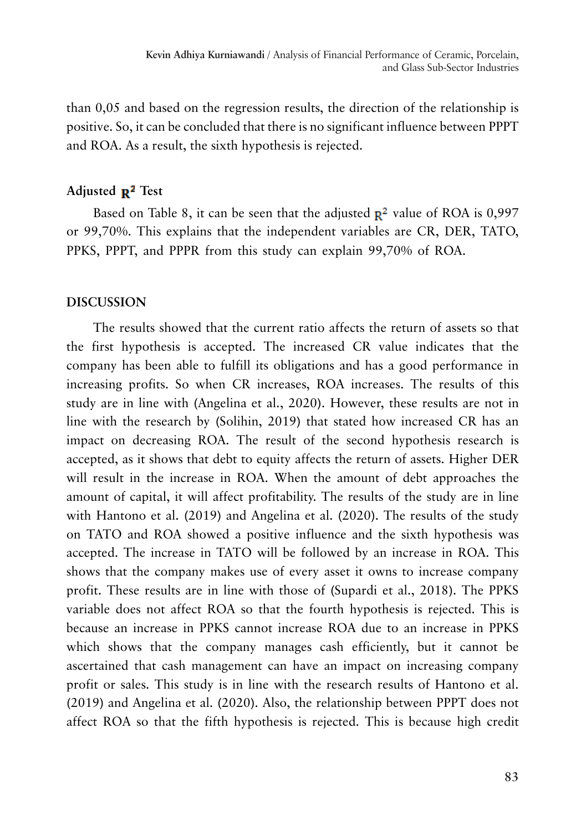than 0,05 and based on the regression results, the direction of the relationship is positive. So, it can be concluded that there is no significant influence between PPPT and ROA. As a result, the sixth hypothesis is rejected.

# Adjusted **R<sup>2</sup>** Test

Based on Table 8, it can be seen that the adjusted  $\mathbb{R}^2$  value of ROA is 0,997 or 99,70%. This explains that the independent variables are CR, DER, TATO, PPKS, PPPT, and PPPR from this study can explain 99,70% of ROA.

## **DISCUSSION**

The results showed that the current ratio affects the return of assets so that the first hypothesis is accepted. The increased CR value indicates that the company has been able to fulfill its obligations and has a good performance in increasing profits. So when CR increases, ROA increases. The results of this study are in line with (Angelina et al., 2020). However, these results are not in line with the research by (Solihin, 2019) that stated how increased CR has an impact on decreasing ROA. The result of the second hypothesis research is accepted, as it shows that debt to equity affects the return of assets. Higher DER will result in the increase in ROA. When the amount of debt approaches the amount of capital, it will affect profitability. The results of the study are in line with Hantono et al. (2019) and Angelina et al. (2020). The results of the study on TATO and ROA showed a positive influence and the sixth hypothesis was accepted. The increase in TATO will be followed by an increase in ROA. This shows that the company makes use of every asset it owns to increase company profit. These results are in line with those of (Supardi et al., 2018). The PPKS variable does not affect ROA so that the fourth hypothesis is rejected. This is because an increase in PPKS cannot increase ROA due to an increase in PPKS which shows that the company manages cash efficiently, but it cannot be ascertained that cash management can have an impact on increasing company profit or sales. This study is in line with the research results of Hantono et al. (2019) and Angelina et al. (2020). Also, the relationship between PPPT does not affect ROA so that the fifth hypothesis is rejected. This is because high credit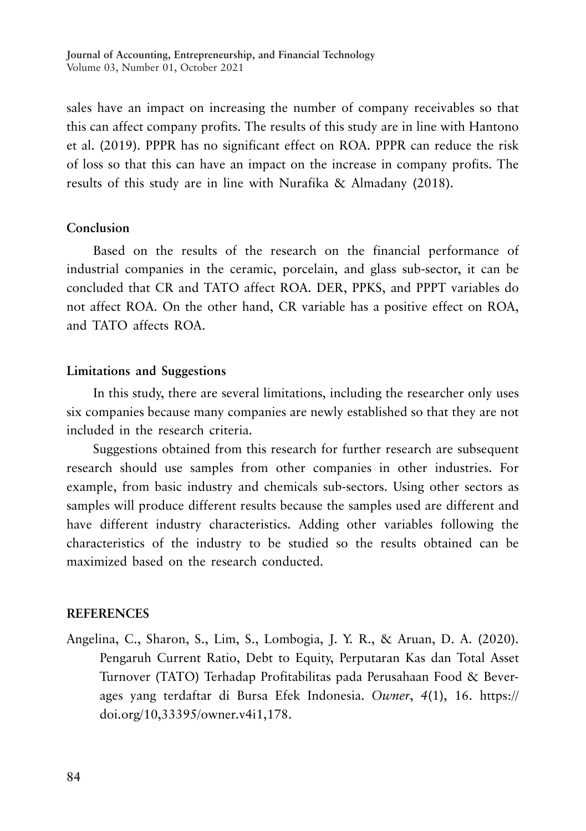sales have an impact on increasing the number of company receivables so that this can affect company profits. The results of this study are in line with Hantono et al. (2019). PPPR has no significant effect on ROA. PPPR can reduce the risk of loss so that this can have an impact on the increase in company profits. The results of this study are in line with Nurafika & Almadany (2018).

## **Conclusion**

Based on the results of the research on the financial performance of industrial companies in the ceramic, porcelain, and glass sub-sector, it can be concluded that CR and TATO affect ROA. DER, PPKS, and PPPT variables do not affect ROA. On the other hand, CR variable has a positive effect on ROA, and TATO affects ROA.

#### **Limitations and Suggestions**

In this study, there are several limitations, including the researcher only uses six companies because many companies are newly established so that they are not included in the research criteria.

Suggestions obtained from this research for further research are subsequent research should use samples from other companies in other industries. For example, from basic industry and chemicals sub-sectors. Using other sectors as samples will produce different results because the samples used are different and have different industry characteristics. Adding other variables following the characteristics of the industry to be studied so the results obtained can be maximized based on the research conducted.

## **REFERENCES**

Angelina, C., Sharon, S., Lim, S., Lombogia, J. Y. R., & Aruan, D. A. (2020). Pengaruh Current Ratio, Debt to Equity, Perputaran Kas dan Total Asset Turnover (TATO) Terhadap Profitabilitas pada Perusahaan Food & Beverages yang terdaftar di Bursa Efek Indonesia. *Owner*, *4*(1), 16. https:// doi.org/10,33395/owner.v4i1,178.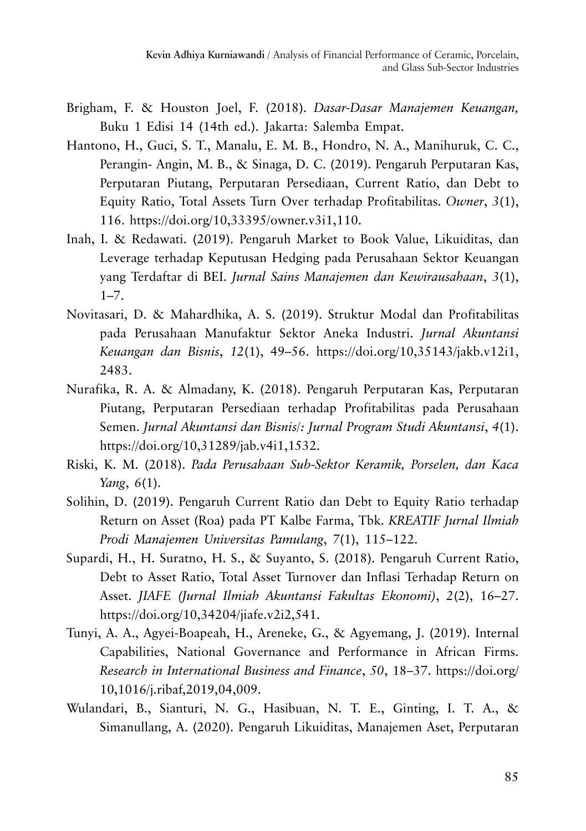- Brigham, F. & Houston Joel, F. (2018). *Dasar-Dasar Manajemen Keuangan,* Buku 1 Edisi 14 (14th ed.). Jakarta: Salemba Empat.
- Hantono, H., Guci, S. T., Manalu, E. M. B., Hondro, N. A., Manihuruk, C. C., Perangin- Angin, M. B., & Sinaga, D. C. (2019). Pengaruh Perputaran Kas, Perputaran Piutang, Perputaran Persediaan, Current Ratio, dan Debt to Equity Ratio, Total Assets Turn Over terhadap Profitabilitas. *Owner*, *3*(1), 116. https://doi.org/10,33395/owner.v3i1,110.
- Inah, I. & Redawati. (2019). Pengaruh Market to Book Value, Likuiditas, dan Leverage terhadap Keputusan Hedging pada Perusahaan Sektor Keuangan yang Terdaftar di BEI. *Jurnal Sains Manajemen dan Kewirausahaan*, *3*(1),  $1 - 7.$
- Novitasari, D. & Mahardhika, A. S. (2019). Struktur Modal dan Profitabilitas pada Perusahaan Manufaktur Sektor Aneka Industri. *Jurnal Akuntansi Keuangan dan Bisnis*, *12*(1), 49–56. https://doi.org/10,35143/jakb.v12i1, 2483.
- Nurafika, R. A. & Almadany, K. (2018). Pengaruh Perputaran Kas, Perputaran Piutang, Perputaran Persediaan terhadap Profitabilitas pada Perusahaan Semen. *Jurnal Akuntansi dan Bisnis/: Jurnal Program Studi Akuntansi*, *4*(1). https://doi.org/10,31289/jab.v4i1,1532.
- Riski, K. M. (2018). *Pada Perusahaan Sub-Sektor Keramik, Porselen, dan Kaca Yang*, *6*(1).
- Solihin, D. (2019). Pengaruh Current Ratio dan Debt to Equity Ratio terhadap Return on Asset (Roa) pada PT Kalbe Farma, Tbk. *KREATIF Jurnal Ilmiah Prodi Manajemen Universitas Pamulang*, *7*(1), 115–122.
- Supardi, H., H. Suratno, H. S., & Suyanto, S. (2018). Pengaruh Current Ratio, Debt to Asset Ratio, Total Asset Turnover dan Inflasi Terhadap Return on Asset. *JIAFE (Jurnal Ilmiah Akuntansi Fakultas Ekonomi)*, *2*(2), 16–27. https://doi.org/10,34204/jiafe.v2i2,541.
- Tunyi, A. A., Agyei-Boapeah, H., Areneke, G., & Agyemang, J. (2019). Internal Capabilities, National Governance and Performance in African Firms. *Research in International Business and Finance*, *50*, 18–37. https://doi.org/ 10,1016/j.ribaf,2019,04,009.
- Wulandari, B., Sianturi, N. G., Hasibuan, N. T. E., Ginting, I. T. A., & Simanullang, A. (2020). Pengaruh Likuiditas, Manajemen Aset, Perputaran